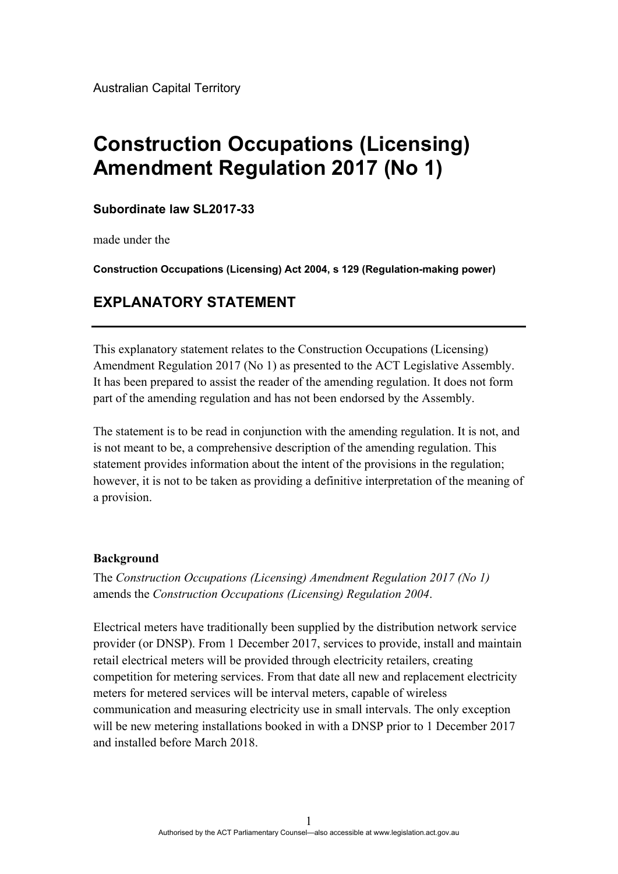Australian Capital Territory

# **Construction Occupations (Licensing) Amendment Regulation 2017 (No 1)**

#### **Subordinate law SL2017-33**

made under the

**Construction Occupations (Licensing) Act 2004, s 129 (Regulation-making power)**

# **EXPLANATORY STATEMENT**

This explanatory statement relates to the Construction Occupations (Licensing) Amendment Regulation 2017 (No 1) as presented to the ACT Legislative Assembly. It has been prepared to assist the reader of the amending regulation. It does not form part of the amending regulation and has not been endorsed by the Assembly.

The statement is to be read in conjunction with the amending regulation. It is not, and is not meant to be, a comprehensive description of the amending regulation. This statement provides information about the intent of the provisions in the regulation; however, it is not to be taken as providing a definitive interpretation of the meaning of a provision.

#### **Background**

The *Construction Occupations (Licensing) Amendment Regulation 2017 (No 1)* amends the *Construction Occupations (Licensing) Regulation 2004*.

Electrical meters have traditionally been supplied by the distribution network service provider (or DNSP). From 1 December 2017, services to provide, install and maintain retail electrical meters will be provided through electricity retailers, creating competition for metering services. From that date all new and replacement electricity meters for metered services will be interval meters, capable of wireless communication and measuring electricity use in small intervals. The only exception will be new metering installations booked in with a DNSP prior to 1 December 2017 and installed before March 2018.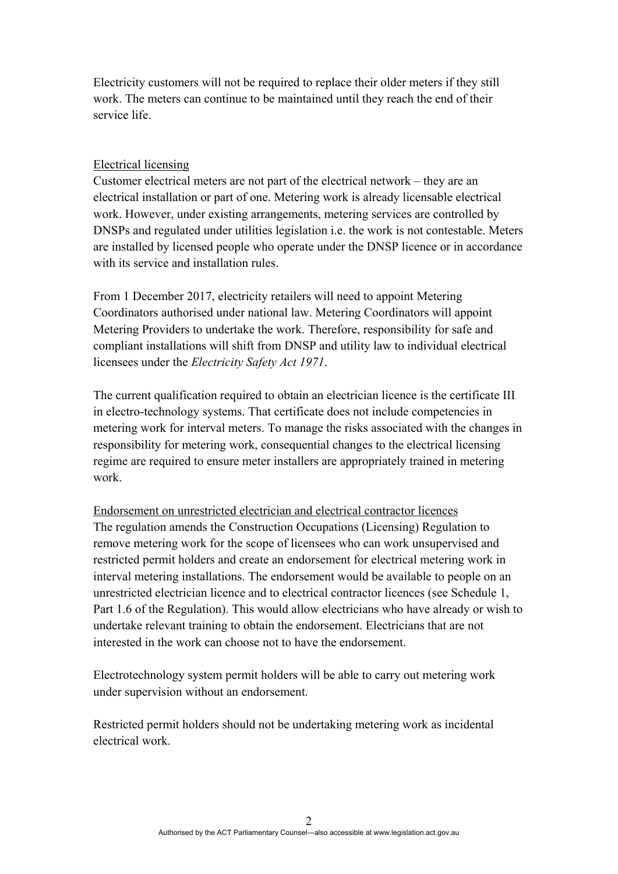Electricity customers will not be required to replace their older meters if they still work. The meters can continue to be maintained until they reach the end of their service life.

#### Electrical licensing

Customer electrical meters are not part of the electrical network – they are an electrical installation or part of one. Metering work is already licensable electrical work. However, under existing arrangements, metering services are controlled by DNSPs and regulated under utilities legislation i.e. the work is not contestable. Meters are installed by licensed people who operate under the DNSP licence or in accordance with its service and installation rules.

From 1 December 2017, electricity retailers will need to appoint Metering Coordinators authorised under national law. Metering Coordinators will appoint Metering Providers to undertake the work. Therefore, responsibility for safe and compliant installations will shift from DNSP and utility law to individual electrical licensees under the *Electricity Safety Act 1971*.

The current qualification required to obtain an electrician licence is the certificate III in electro-technology systems. That certificate does not include competencies in metering work for interval meters. To manage the risks associated with the changes in responsibility for metering work, consequential changes to the electrical licensing regime are required to ensure meter installers are appropriately trained in metering work.

Endorsement on unrestricted electrician and electrical contractor licences The regulation amends the Construction Occupations (Licensing) Regulation to remove metering work for the scope of licensees who can work unsupervised and restricted permit holders and create an endorsement for electrical metering work in interval metering installations. The endorsement would be available to people on an unrestricted electrician licence and to electrical contractor licences (see Schedule 1, Part 1.6 of the Regulation). This would allow electricians who have already or wish to undertake relevant training to obtain the endorsement. Electricians that are not interested in the work can choose not to have the endorsement.

Electrotechnology system permit holders will be able to carry out metering work under supervision without an endorsement.

Restricted permit holders should not be undertaking metering work as incidental electrical work.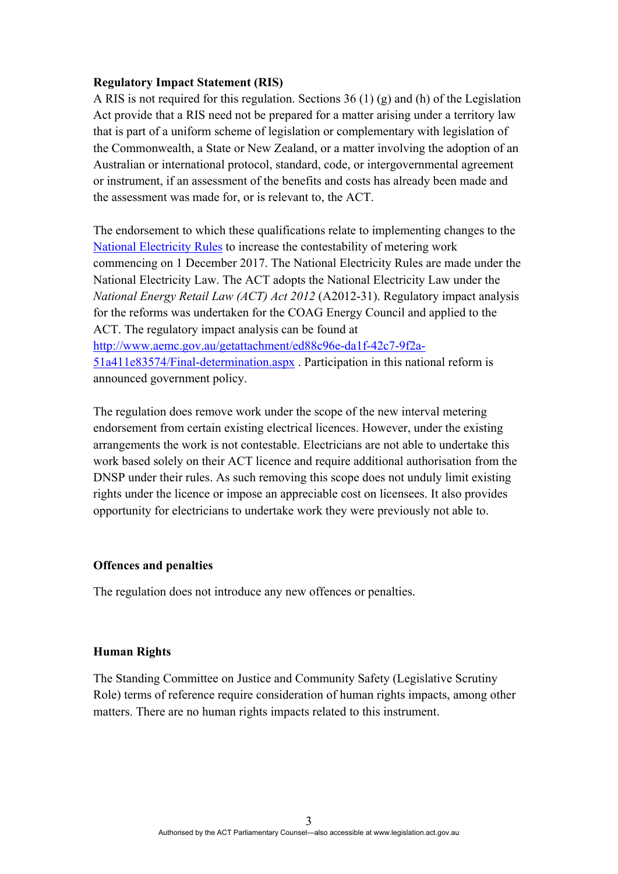#### **Regulatory Impact Statement (RIS)**

A RIS is not required for this regulation. Sections 36 (1) (g) and (h) of the Legislation Act provide that a RIS need not be prepared for a matter arising under a territory law that is part of a uniform scheme of legislation or complementary with legislation of the Commonwealth, a State or New Zealand, or a matter involving the adoption of an Australian or international protocol, standard, code, or intergovernmental agreement or instrument, if an assessment of the benefits and costs has already been made and the assessment was made for, or is relevant to, the ACT.

The endorsement to which these qualifications relate to implementing changes to the [National Electricity Rules](http://www.aemc.gov.au/energy-rules/national-electricity-rules/current-rules) to increase the contestability of metering work commencing on 1 December 2017. The National Electricity Rules are made under the National Electricity Law. The ACT adopts the National Electricity Law under the *National Energy Retail Law (ACT) Act 2012* (A2012-31). Regulatory impact analysis for the reforms was undertaken for the COAG Energy Council and applied to the ACT. The regulatory impact analysis can be found at [http://www.aemc.gov.au/getattachment/ed88c96e-da1f-42c7-9f2a-](http://www.aemc.gov.au/getattachment/ed88c96e-da1f-42c7-9f2a-51a411e83574/Final-determination.aspx)[51a411e83574/Final-determination.aspx](http://www.aemc.gov.au/getattachment/ed88c96e-da1f-42c7-9f2a-51a411e83574/Final-determination.aspx) . Participation in this national reform is announced government policy.

The regulation does remove work under the scope of the new interval metering endorsement from certain existing electrical licences. However, under the existing arrangements the work is not contestable. Electricians are not able to undertake this work based solely on their ACT licence and require additional authorisation from the DNSP under their rules. As such removing this scope does not unduly limit existing rights under the licence or impose an appreciable cost on licensees. It also provides opportunity for electricians to undertake work they were previously not able to.

#### **Offences and penalties**

The regulation does not introduce any new offences or penalties.

#### **Human Rights**

The Standing Committee on Justice and Community Safety (Legislative Scrutiny Role) terms of reference require consideration of human rights impacts, among other matters. There are no human rights impacts related to this instrument.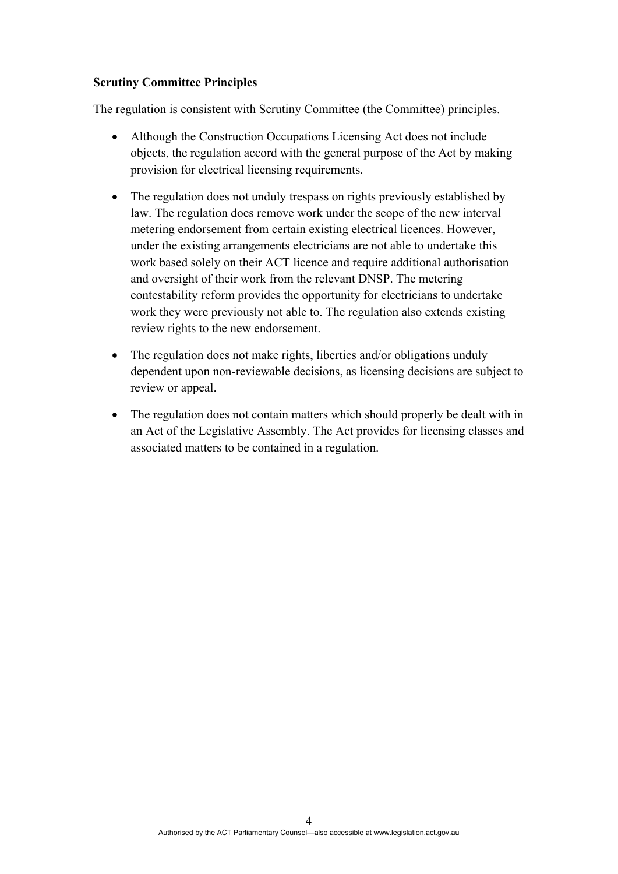#### **Scrutiny Committee Principles**

The regulation is consistent with Scrutiny Committee (the Committee) principles.

- Although the Construction Occupations Licensing Act does not include objects, the regulation accord with the general purpose of the Act by making provision for electrical licensing requirements.
- The regulation does not unduly trespass on rights previously established by law. The regulation does remove work under the scope of the new interval metering endorsement from certain existing electrical licences. However, under the existing arrangements electricians are not able to undertake this work based solely on their ACT licence and require additional authorisation and oversight of their work from the relevant DNSP. The metering contestability reform provides the opportunity for electricians to undertake work they were previously not able to. The regulation also extends existing review rights to the new endorsement.
- The regulation does not make rights, liberties and/or obligations unduly dependent upon non-reviewable decisions, as licensing decisions are subject to review or appeal.
- The regulation does not contain matters which should properly be dealt with in an Act of the Legislative Assembly. The Act provides for licensing classes and associated matters to be contained in a regulation.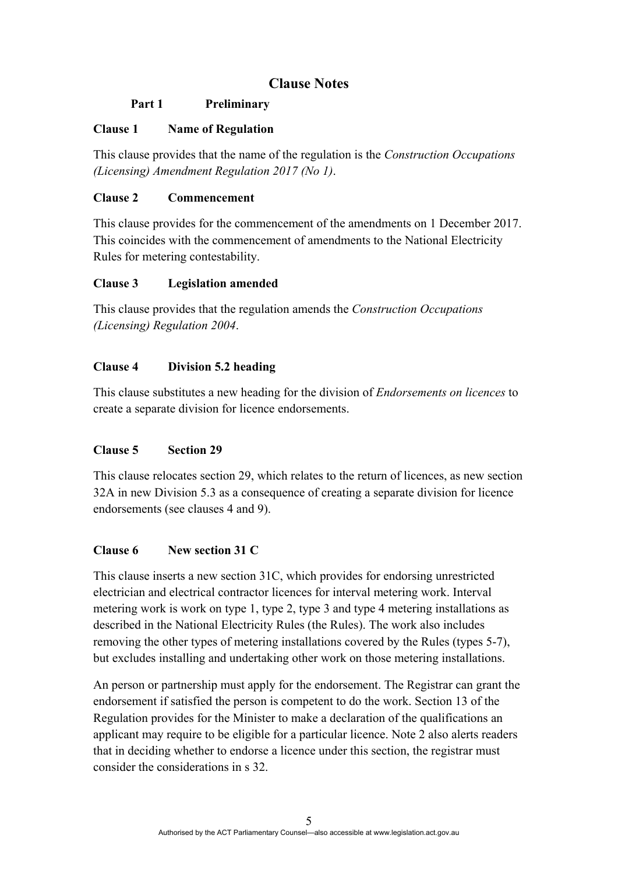# **Clause Notes**

## **Part 1 Preliminary**

## **Clause 1 Name of Regulation**

This clause provides that the name of the regulation is the *Construction Occupations (Licensing) Amendment Regulation 2017 (No 1)*.

## **Clause 2 Commencement**

This clause provides for the commencement of the amendments on 1 December 2017. This coincides with the commencement of amendments to the National Electricity Rules for metering contestability.

#### **Clause 3 Legislation amended**

This clause provides that the regulation amends the *Construction Occupations (Licensing) Regulation 2004*.

#### **Clause 4 Division 5.2 heading**

This clause substitutes a new heading for the division of *Endorsements on licences* to create a separate division for licence endorsements.

#### **Clause 5 Section 29**

This clause relocates section 29, which relates to the return of licences, as new section 32A in new Division 5.3 as a consequence of creating a separate division for licence endorsements (see clauses 4 and 9).

## **Clause 6 New section 31 C**

This clause inserts a new section 31C, which provides for endorsing unrestricted electrician and electrical contractor licences for interval metering work. Interval metering work is work on type 1, type 2, type 3 and type 4 metering installations as described in the National Electricity Rules (the Rules). The work also includes removing the other types of metering installations covered by the Rules (types 5-7), but excludes installing and undertaking other work on those metering installations.

An person or partnership must apply for the endorsement. The Registrar can grant the endorsement if satisfied the person is competent to do the work. Section 13 of the Regulation provides for the Minister to make a declaration of the qualifications an applicant may require to be eligible for a particular licence. Note 2 also alerts readers that in deciding whether to endorse a licence under this section, the registrar must consider the considerations in s 32.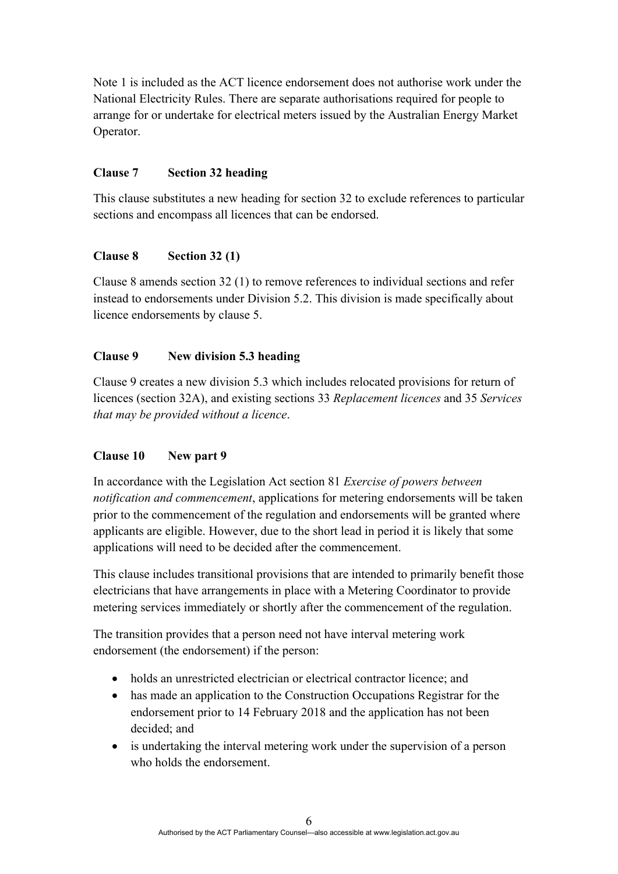Note 1 is included as the ACT licence endorsement does not authorise work under the National Electricity Rules. There are separate authorisations required for people to arrange for or undertake for electrical meters issued by the Australian Energy Market Operator.

## **Clause 7 Section 32 heading**

This clause substitutes a new heading for section 32 to exclude references to particular sections and encompass all licences that can be endorsed.

## **Clause 8 Section 32 (1)**

Clause 8 amends section 32 (1) to remove references to individual sections and refer instead to endorsements under Division 5.2. This division is made specifically about licence endorsements by clause 5.

## **Clause 9 New division 5.3 heading**

Clause 9 creates a new division 5.3 which includes relocated provisions for return of licences (section 32A), and existing sections 33 *Replacement licences* and 35 *Services that may be provided without a licence*.

## **Clause 10 New part 9**

In accordance with the Legislation Act section 81 *Exercise of powers between notification and commencement*, applications for metering endorsements will be taken prior to the commencement of the regulation and endorsements will be granted where applicants are eligible. However, due to the short lead in period it is likely that some applications will need to be decided after the commencement.

This clause includes transitional provisions that are intended to primarily benefit those electricians that have arrangements in place with a Metering Coordinator to provide metering services immediately or shortly after the commencement of the regulation.

The transition provides that a person need not have interval metering work endorsement (the endorsement) if the person:

- holds an unrestricted electrician or electrical contractor licence; and
- has made an application to the Construction Occupations Registrar for the endorsement prior to 14 February 2018 and the application has not been decided; and
- is undertaking the interval metering work under the supervision of a person who holds the endorsement.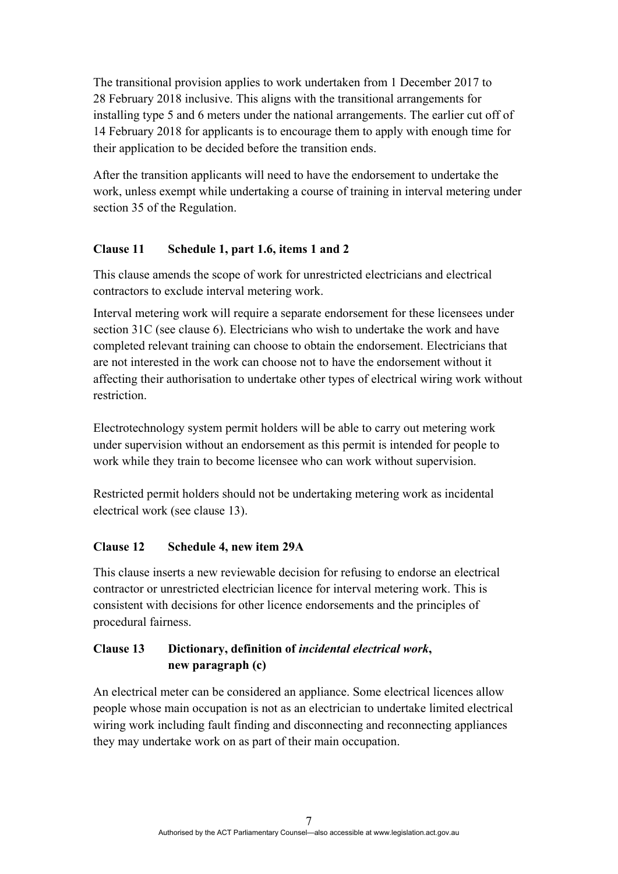The transitional provision applies to work undertaken from 1 December 2017 to 28 February 2018 inclusive. This aligns with the transitional arrangements for installing type 5 and 6 meters under the national arrangements. The earlier cut off of 14 February 2018 for applicants is to encourage them to apply with enough time for their application to be decided before the transition ends.

After the transition applicants will need to have the endorsement to undertake the work, unless exempt while undertaking a course of training in interval metering under section 35 of the Regulation.

# **Clause 11 Schedule 1, part 1.6, items 1 and 2**

This clause amends the scope of work for unrestricted electricians and electrical contractors to exclude interval metering work.

Interval metering work will require a separate endorsement for these licensees under section 31C (see clause 6). Electricians who wish to undertake the work and have completed relevant training can choose to obtain the endorsement. Electricians that are not interested in the work can choose not to have the endorsement without it affecting their authorisation to undertake other types of electrical wiring work without restriction.

Electrotechnology system permit holders will be able to carry out metering work under supervision without an endorsement as this permit is intended for people to work while they train to become licensee who can work without supervision.

Restricted permit holders should not be undertaking metering work as incidental electrical work (see clause 13).

## **Clause 12 Schedule 4, new item 29A**

This clause inserts a new reviewable decision for refusing to endorse an electrical contractor or unrestricted electrician licence for interval metering work. This is consistent with decisions for other licence endorsements and the principles of procedural fairness.

# **Clause 13 Dictionary, definition of** *incidental electrical work***, new paragraph (c)**

An electrical meter can be considered an appliance. Some electrical licences allow people whose main occupation is not as an electrician to undertake limited electrical wiring work including fault finding and disconnecting and reconnecting appliances they may undertake work on as part of their main occupation.